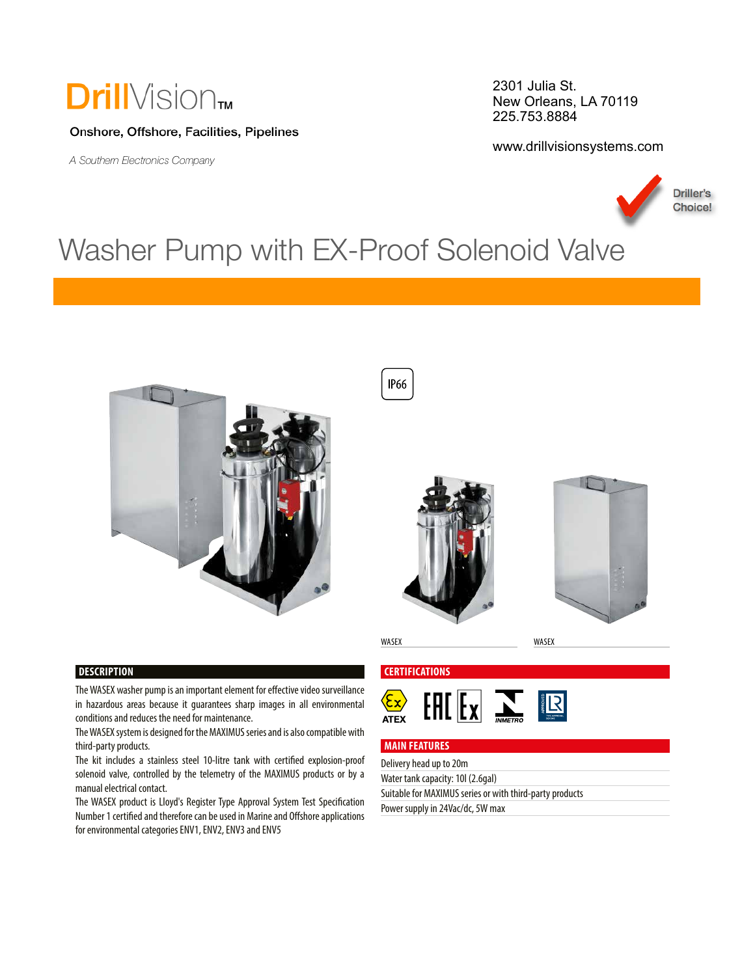## **Drill**Vision<sub>TM</sub>

#### Onshore, Offshore, Facilities, Pipelines

A Southern Electronics Company

WAS CONSUMING

2301 Julia St. New Orleans, LA 70119 225.753.8884

www.drillvisionsystems.com



### Washer Pump with EX-Proof Solenoid Valve









WASEX WASEX

#### **DESCRIPTION**

The WASEX washer pump is an important element for efective video surveillance in hazardous areas because it guarantees sharp images in all environmental conditions and reduces the need for maintenance.

The WASEX system is designed for the MAXIMUS series and is also compatible with third-party products.

The kit includes a stainless steel 10-litre tank with certifed explosion-proof solenoid valve, controlled by the telemetry of the MAXIMUS products or by a manual electrical contact.

The WASEX product is Lloyd's Register Type Approval System Test Specifcation Number 1 certifed and therefore can be used in Marine and Ofshore applications for environmental categories ENV1, ENV2, ENV3 and ENV5

**CERTIFICATIONS**





#### **MAIN FEATURES**

Delivery head up to 20m

Water tank capacity: 10l (2.6gal)

Suitable for MAXIMUS series or with third-party products

Power supply in 24Vac/dc, 5W max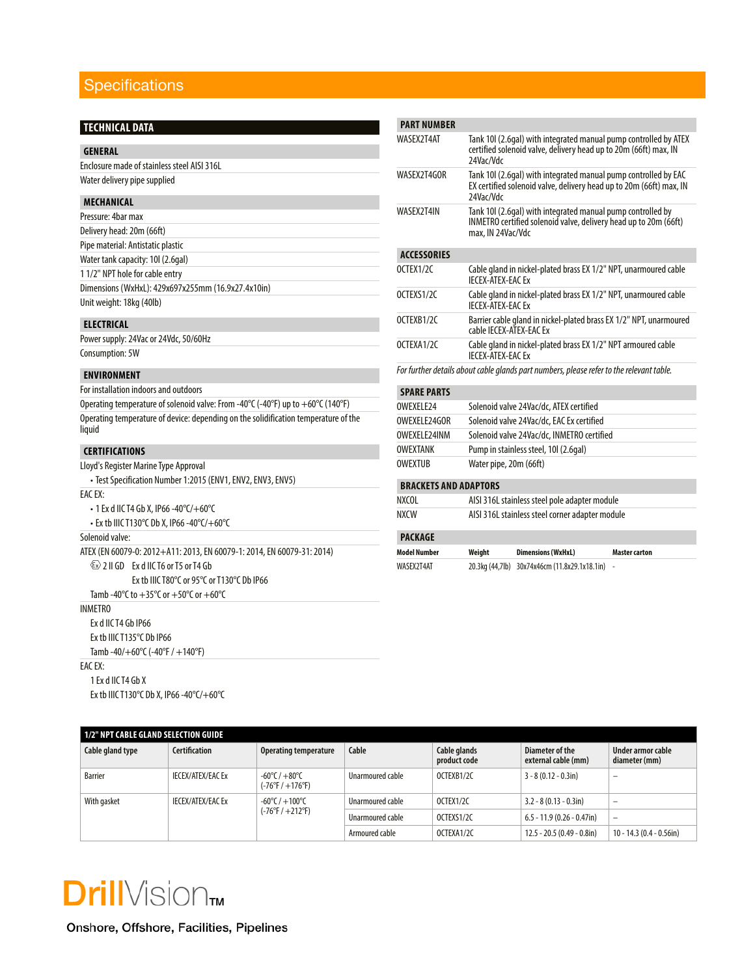### **Specifications**

| <b>TECHNICAL DATA</b>                                                               | <b>PART N</b>    |
|-------------------------------------------------------------------------------------|------------------|
|                                                                                     | WASEX21          |
| <b>GENERAL</b>                                                                      |                  |
| Enclosure made of stainless steel AISI 316L                                         | WASEX21          |
| Water delivery pipe supplied                                                        |                  |
| <b>MECHANICAL</b>                                                                   |                  |
| Pressure: 4bar max                                                                  | WASEX21          |
| Delivery head: 20m (66ft)                                                           |                  |
| Pipe material: Antistatic plastic                                                   |                  |
| Water tank capacity: 10l (2.6gal)                                                   | <b>ACCESS</b>    |
| 1 1/2" NPT hole for cable entry                                                     | OCTEX1/2         |
| Dimensions (WxHxL): 429x697x255mm (16.9x27.4x10in)                                  | OCTEXS1          |
| Unit weight: 18kg (40lb)                                                            |                  |
| <b>ELECTRICAL</b>                                                                   | OCTEXB1          |
| Power supply: 24Vac or 24Vdc, 50/60Hz                                               |                  |
| Consumption: 5W                                                                     | OCTEXA1          |
| <b>ENVIRONMENT</b>                                                                  | For furthe       |
| For installation indoors and outdoors                                               | <b>SPARE</b>     |
| Operating temperature of solenoid valve: From -40°C (-40°F) up to +60°C (140°F)     | OWEXELE          |
| Operating temperature of device: depending on the solidification temperature of the | OWEXELE          |
| liquid                                                                              | OWEXELE          |
| <b>CERTIFICATIONS</b>                                                               | <b>OWEXTAI</b>   |
| Lloyd's Register Marine Type Approval                                               | <b>OWEXTUI</b>   |
| · Test Specification Number 1:2015 (ENV1, ENV2, ENV3, ENV5)                         |                  |
| EAC EX:                                                                             | <b>BRACK</b>     |
| • 1 Ex d IIC T4 Gb X, IP66 -40°C/+60°C                                              | NXCOL            |
| • Ex tb IIIC T130°C Db X, IP66 -40°C/+60°C                                          | NXCW             |
| Solenoid valve:                                                                     | <b>PACKA</b>     |
| ATEX (EN 60079-0: 2012+A11: 2013, EN 60079-1: 2014, EN 60079-31: 2014)              | <b>Model Nun</b> |
| $\langle \epsilon_{x} \rangle$ 2 II GD Ex d IIC T6 or T5 or T4 Gb                   | WASEX2T4         |
| Ex tb IIIC T80°C or 95°C or T130°C Db IP66                                          |                  |
| Tamb -40°C to $+35$ °C or $+50$ °C or $+60$ °C                                      |                  |
| <b>INMFTRO</b>                                                                      |                  |
| Ex d IIC T4 Gb IP66                                                                 |                  |
| Ex tb IIIC T135°C Db IP66                                                           |                  |
| Tamb -40/+60°C (-40°F / +140°F)                                                     |                  |
| $FAC$ $FX$                                                                          |                  |
| 1 Ex d IIC T4 Gb X                                                                  |                  |
| Ex tb IIIC T130°C Db X, IP66 -40°C/+60°C                                            |                  |

| <b>Model Number</b>          | Weight                                                                                                                                             | <b>Dimensions (WxHxL)</b>                                                                                                      | <b>Master carton</b> |  |  |  |
|------------------------------|----------------------------------------------------------------------------------------------------------------------------------------------------|--------------------------------------------------------------------------------------------------------------------------------|----------------------|--|--|--|
| <b>PACKAGE</b>               |                                                                                                                                                    |                                                                                                                                |                      |  |  |  |
| <b>NXCW</b>                  |                                                                                                                                                    | AISI 316L stainless steel corner adapter module                                                                                |                      |  |  |  |
| NXCOL                        |                                                                                                                                                    | AISI 316L stainless steel pole adapter module                                                                                  |                      |  |  |  |
| <b>BRACKETS AND ADAPTORS</b> |                                                                                                                                                    |                                                                                                                                |                      |  |  |  |
| <b>OWFXTUR</b>               |                                                                                                                                                    | Water pipe, 20m (66ft)                                                                                                         |                      |  |  |  |
| <b>OWFXTANK</b>              |                                                                                                                                                    | Pump in stainless steel, 10l (2.6qal)                                                                                          |                      |  |  |  |
| OWEXEL E24INM                |                                                                                                                                                    | Solenoid valve 24Vac/dc, INMETRO certified                                                                                     |                      |  |  |  |
| OWEXELE24GOR                 |                                                                                                                                                    | Solenoid valve 24Vac/dc, EAC Ex certified                                                                                      |                      |  |  |  |
| OWFXFI F24                   |                                                                                                                                                    | Solenoid valve 24Vac/dc, ATEX certified                                                                                        |                      |  |  |  |
| <b>SPARE PARTS</b>           |                                                                                                                                                    |                                                                                                                                |                      |  |  |  |
|                              |                                                                                                                                                    | For further details about cable glands part numbers, please refer to the relevant table.                                       |                      |  |  |  |
|                              | Cable gland in nickel-plated brass EX 1/2" NPT armoured cable<br><b>IFCFX-ATFX-FACFx</b>                                                           |                                                                                                                                |                      |  |  |  |
| OCTEXA1/2C                   | cable IFCFX-ATFX-FAC Fx                                                                                                                            |                                                                                                                                |                      |  |  |  |
| OCTFXB1/2C                   |                                                                                                                                                    | Barrier cable gland in nickel-plated brass EX 1/2" NPT, unarmoured                                                             |                      |  |  |  |
| OCTFXS1/2C                   | Cable gland in nickel-plated brass EX 1/2" NPT, unarmoured cable<br>IFCFX-ATFX-FAC Fx                                                              |                                                                                                                                |                      |  |  |  |
| OCTEX1/2C                    | Cable gland in nickel-plated brass EX 1/2" NPT, unarmoured cable<br><b>IFCFX-ATFX-FACFx</b>                                                        |                                                                                                                                |                      |  |  |  |
| <b>ACCESSORIES</b>           |                                                                                                                                                    |                                                                                                                                |                      |  |  |  |
|                              | max, IN 24Vac/Vdc                                                                                                                                  |                                                                                                                                |                      |  |  |  |
| WASEX2T4IN                   |                                                                                                                                                    | Tank 10 (2.6gal) with integrated manual pump controlled by<br>INMETRO certified solenoid valve, delivery head up to 20m (66ft) |                      |  |  |  |
| WASFX2T4GOR                  | Tank 10 (2.6gal) with integrated manual pump controlled by EAC<br>EX certified solenoid valve, delivery head up to 20m (66ft) max, IN<br>24Vac/Vdc |                                                                                                                                |                      |  |  |  |
| WASFX2T4AT                   | Tank 10I (2.6gal) with integrated manual pump controlled by ATEX<br>certified solenoid valve, delivery head up to 20m (66ft) max, IN<br>24Vac/Vdc  |                                                                                                                                |                      |  |  |  |
|                              |                                                                                                                                                    |                                                                                                                                |                      |  |  |  |

| 1/2" NPT CABLE GLAND SELECTION GUIDE    |                          |                                                                       |                  |                              |                                        |                                    |  |  |
|-----------------------------------------|--------------------------|-----------------------------------------------------------------------|------------------|------------------------------|----------------------------------------|------------------------------------|--|--|
| Cable gland type                        | <b>Certification</b>     | Operating temperature                                                 | Cable            | Cable glands<br>product code | Diameter of the<br>external cable (mm) | Under armor cable<br>diameter (mm) |  |  |
| <b>Barrier</b>                          | <b>IECEX/ATEX/EAC Ex</b> | $-60^{\circ}$ C / $+80^{\circ}$ C<br>$(-76^{\circ}F/ + 176^{\circ}F)$ | Unarmoured cable | OCTEXB1/2C                   | $3 - 8 (0.12 - 0.3)$ in)               | -                                  |  |  |
| With gasket<br><b>IECEX/ATEX/EAC Ex</b> |                          | $-60^{\circ}$ C / $+100^{\circ}$ C<br>$(-76°F/ +212°F)$               | Unarmoured cable | OCTEX1/2C                    | $3.2 - 8(0.13 - 0.3)$ in)              | -                                  |  |  |
|                                         |                          |                                                                       | Unarmoured cable | OCTEXS1/2C                   | $6.5 - 11.9$ (0.26 - 0.47in)           | $\qquad \qquad =$                  |  |  |
|                                         |                          |                                                                       | Armoured cable   | OCTEXA1/2C                   | $12.5 - 20.5 (0.49 - 0.8)$             | $10 - 14.3 (0.4 - 0.56)$           |  |  |

# **Drill**Vision<sub>m</sub>

Onshore, Offshore, Facilities, Pipelines